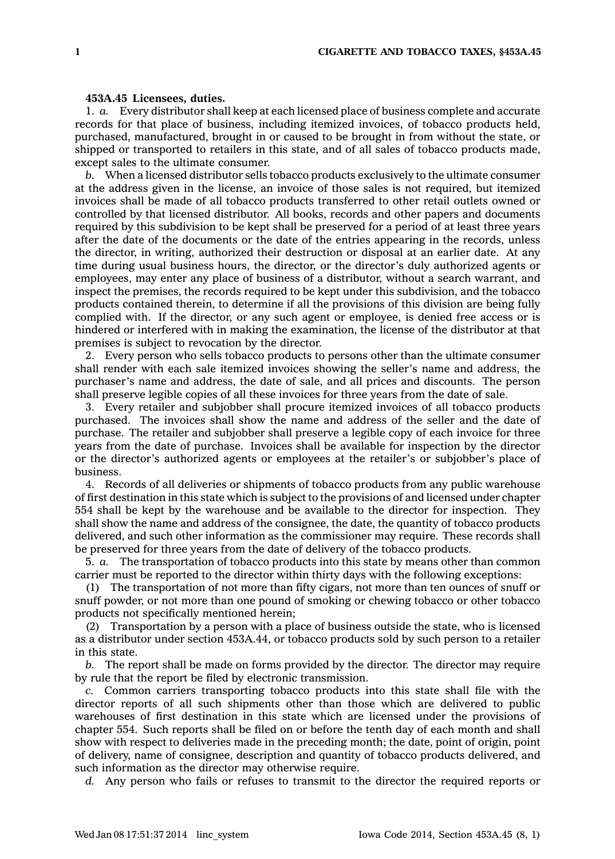## **453A.45 Licensees, duties.**

1. *a.* Every distributor shall keep at each licensed place of business complete and accurate records for that place of business, including itemized invoices, of tobacco products held, purchased, manufactured, brought in or caused to be brought in from without the state, or shipped or transported to retailers in this state, and of all sales of tobacco products made, except sales to the ultimate consumer.

*b.* When <sup>a</sup> licensed distributor sells tobacco products exclusively to the ultimate consumer at the address given in the license, an invoice of those sales is not required, but itemized invoices shall be made of all tobacco products transferred to other retail outlets owned or controlled by that licensed distributor. All books, records and other papers and documents required by this subdivision to be kept shall be preserved for <sup>a</sup> period of at least three years after the date of the documents or the date of the entries appearing in the records, unless the director, in writing, authorized their destruction or disposal at an earlier date. At any time during usual business hours, the director, or the director's duly authorized agents or employees, may enter any place of business of <sup>a</sup> distributor, without <sup>a</sup> search warrant, and inspect the premises, the records required to be kept under this subdivision, and the tobacco products contained therein, to determine if all the provisions of this division are being fully complied with. If the director, or any such agent or employee, is denied free access or is hindered or interfered with in making the examination, the license of the distributor at that premises is subject to revocation by the director.

2. Every person who sells tobacco products to persons other than the ultimate consumer shall render with each sale itemized invoices showing the seller's name and address, the purchaser's name and address, the date of sale, and all prices and discounts. The person shall preserve legible copies of all these invoices for three years from the date of sale.

3. Every retailer and subjobber shall procure itemized invoices of all tobacco products purchased. The invoices shall show the name and address of the seller and the date of purchase. The retailer and subjobber shall preserve <sup>a</sup> legible copy of each invoice for three years from the date of purchase. Invoices shall be available for inspection by the director or the director's authorized agents or employees at the retailer's or subjobber's place of business.

4. Records of all deliveries or shipments of tobacco products from any public warehouse of first destination in this state which is subject to the provisions of and licensed under chapter 554 shall be kept by the warehouse and be available to the director for inspection. They shall show the name and address of the consignee, the date, the quantity of tobacco products delivered, and such other information as the commissioner may require. These records shall be preserved for three years from the date of delivery of the tobacco products.

5. *a.* The transportation of tobacco products into this state by means other than common carrier must be reported to the director within thirty days with the following exceptions:

(1) The transportation of not more than fifty cigars, not more than ten ounces of snuff or snuff powder, or not more than one pound of smoking or chewing tobacco or other tobacco products not specifically mentioned herein;

(2) Transportation by <sup>a</sup> person with <sup>a</sup> place of business outside the state, who is licensed as <sup>a</sup> distributor under section 453A.44, or tobacco products sold by such person to <sup>a</sup> retailer in this state.

*b.* The report shall be made on forms provided by the director. The director may require by rule that the report be filed by electronic transmission.

*c.* Common carriers transporting tobacco products into this state shall file with the director reports of all such shipments other than those which are delivered to public warehouses of first destination in this state which are licensed under the provisions of chapter 554. Such reports shall be filed on or before the tenth day of each month and shall show with respect to deliveries made in the preceding month; the date, point of origin, point of delivery, name of consignee, description and quantity of tobacco products delivered, and such information as the director may otherwise require.

*d.* Any person who fails or refuses to transmit to the director the required reports or